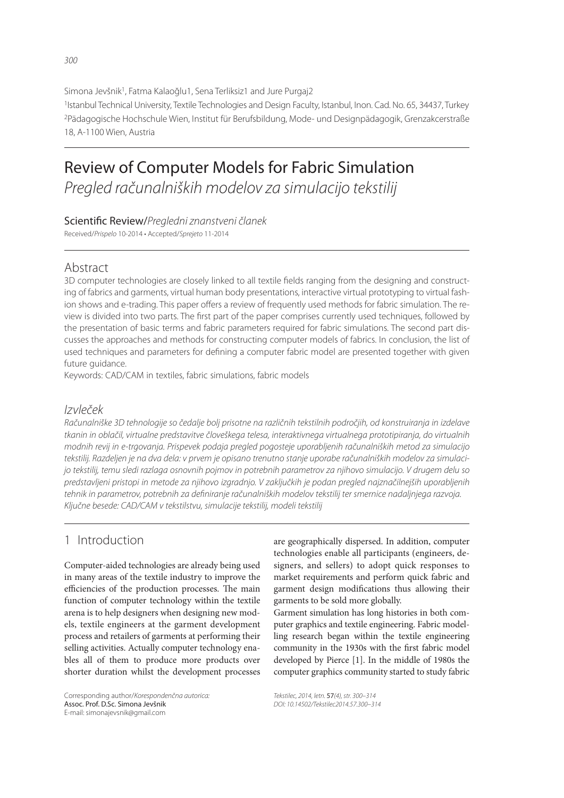Simona Jevšnik<sup>1</sup>, Fatma Kalaoğlu1, Sena Terliksiz1 and Jure Purgaj2

1Istanbul Technical University, Textile Technologies and Design Faculty, Istanbul, Inon. Cad. No. 65, 34437, Turkey 2Pädagogische Hochschule Wien, Institut für Berufsbildung, Mode- und Designpädagogik, Grenzakcerstraße 18, A-1100 Wien, Austria

# Review of Computer Models for Fabric Simulation

Pregled računalniških modelov za simulacijo tekstilij

Scientific Review/Pregledni znanstveni članek

Received/Prispelo 10-2014 • Accepted/Sprejeto 11-2014

### Abstract

3D computer technologies are closely linked to all textile fields ranging from the designing and constructing of fabrics and garments, virtual human body presentations, interactive virtual prototyping to virtual fashion shows and e-trading. This paper offers a review of frequently used methods for fabric simulation. The review is divided into two parts. The first part of the paper comprises currently used techniques, followed by the presentation of basic terms and fabric parameters required for fabric simulations. The second part discusses the approaches and methods for constructing computer models of fabrics. In conclusion, the list of used techniques and parameters for defining a computer fabric model are presented together with given future guidance.

Keywords: CAD/CAM in textiles, fabric simulations, fabric models

### Izvleček

Računalniške 3D tehnologije so čedalje bolj prisotne na različnih tekstilnih področjih, od konstruiranja in izdelave tkanin in oblačil, virtualne predstavitve človeškega telesa, interaktivnega virtualnega prototipiranja, do virtualnih modnih revij in e-trgovanja. Prispevek podaja pregled pogosteje uporabljenih računalniških metod za simulacijo tekstilij. Razdeljen je na dva dela: v prvem je opisano trenutno stanje uporabe računalniških modelov za simulacijo tekstilij, temu sledi razlaga osnovnih pojmov in potrebnih parametrov za njihovo simulacijo. V drugem delu so predstavljeni pristopi in metode za njihovo izgradnjo. V zaključkih je podan pregled najznačilnejših uporabljenih tehnik in parametrov, potrebnih za definiranje računalniških modelov tekstilij ter smernice nadaljnjega razvoja. Ključne besede: CAD/CAM v tekstilstvu, simulacije tekstilij, modeli tekstilij

# 1 Introduction

Computer-aided technologies are already being used in many areas of the textile industry to improve the efficiencies of the production processes. The main function of computer technology within the textile arena is to help designers when designing new models, textile engineers at the garment development process and retailers of garments at performing their selling activities. Actually computer technology enables all of them to produce more products over shorter duration whilst the development processes

Corresponding author/Korespondenčna autorica: Assoc. Prof. D.Sc. Simona Jevšnik E-mail: simonajevsnik@gmail.com

are geographically dispersed. In addition, computer technologies enable all participants (engineers, designers, and sellers) to adopt quick responses to market requirements and perform quick fabric and garment design modifications thus allowing their garments to be sold more globally.

Garment simulation has long histories in both computer graphics and textile engineering. Fabric modelling research began within the textile engineering community in the 1930s with the first fabric model developed by Pierce [1]. In the middle of 1980s the computer graphics community started to study fabric

Tekstilec, 2014, letn. 57(4), str. 300–314 DOI: 10.14502/Tekstilec2014.57.300–314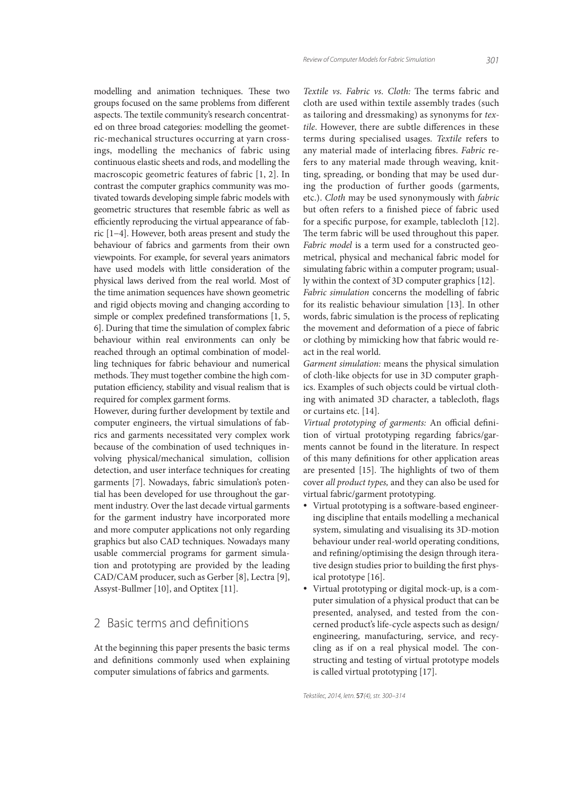modelling and animation techniques. These two groups focused on the same problems from different aspects. The textile community's research concentrated on three broad categories: modelling the geometric-mechanical structures occurring at yarn crossings, modelling the mechanics of fabric using continuous elastic sheets and rods, and modelling the macroscopic geometric features of fabric [1, 2]. In contrast the computer graphics community was motivated towards developing simple fabric models with geometric structures that resemble fabric as well as efficiently reproducing the virtual appearance of fabric [1−4]. However, both areas present and study the behaviour of fabrics and garments from their own viewpoints. For example, for several years animators have used models with little consideration of the physical laws derived from the real world. Most of the time animation sequences have shown geometric and rigid objects moving and changing according to simple or complex predefined transformations [1, 5, 6]. During that time the simulation of complex fabric behaviour within real environments can only be reached through an optimal combination of modelling techniques for fabric behaviour and numerical methods. They must together combine the high computation efficiency, stability and visual realism that is

However, during further development by textile and computer engineers, the virtual simulations of fabrics and garments necessitated very complex work because of the combination of used techniques involving physical/mechanical simulation, collision detection, and user interface techniques for creating garments [7]. Nowadays, fabric simulation's potential has been developed for use throughout the garment industry. Over the last decade virtual garments for the garment industry have incorporated more and more computer applications not only regarding graphics but also CAD techniques. Nowadays many usable commercial programs for garment simulation and prototyping are provided by the leading CAD/CAM producer, such as Gerber [8], Lectra [9], Assyst-Bullmer [10], and Optitex [11].

required for complex garment forms.

# 2 Basic terms and definitions

At the beginning this paper presents the basic terms and definitions commonly used when explaining computer simulations of fabrics and garments.

*Textile vs. Fabric vs. Cloth: The terms fabric and* cloth are used within textile assembly trades (such as tailoring and dressmaking) as synonyms for *tex*tile. However, there are subtle differences in these terms during specialised usages. *Textile* refers to any material made of interlacing fibres. *Fabric* refers to any material made through weaving, knitting, spreading, or bonding that may be used during the production of further goods (garments, etc.). *Cloth* may be used synonymously with *fabric* but often refers to a finished piece of fabric used for a specific purpose, for example, tablecloth [12]. The term fabric will be used throughout this paper. *Fabric model* is a term used for a constructed geometrical, physical and mechanical fabric model for simulating fabric within a computer program; usually within the context of 3D computer graphics [12]. *Fabric simulation* concerns the modelling of fabric for its realistic behaviour simulation [13]. In other words, fabric simulation is the process of replicating the movement and deformation of a piece of fabric

act in the real world. *Garment simulation:* means the physical simulation of cloth-like objects for use in 3D computer graphics. Examples of such objects could be virtual clothing with animated 3D character, a tablecloth, flags or curtains etc. [14].

or clothing by mimicking how that fabric would re-

Virtual prototyping of garments: An official definition of virtual prototyping regarding fabrics/garments cannot be found in the literature. In respect of this many definitions for other application areas are presented [15]. The highlights of two of them cover *all product types,* and they can also be used for virtual fabric/garment prototyping.

- Virtual prototyping is a software-based engineering discipline that entails modelling a mechanical system, simulating and visualising its 3D-motion behaviour under real-world operating conditions, and refining/optimising the design through iterative design studies prior to building the first physical prototype [16].
- Virtual prototyping or digital mock-up, is a computer simulation of a physical product that can be presented, analysed, and tested from the concerned product's life-cycle aspects such as design/ engineering, manufacturing, service, and recycling as if on a real physical model. The constructing and testing of virtual prototype models is called virtual prototyping [17].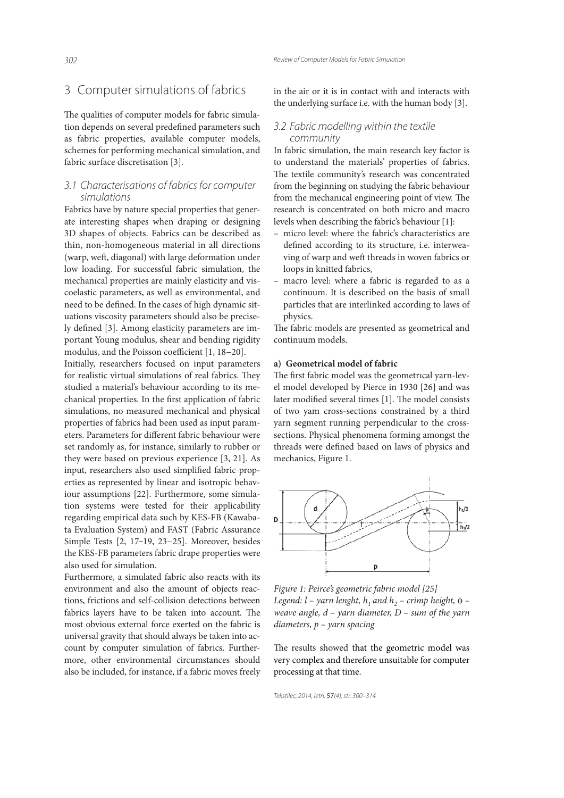### 3 Computer simulations of fabrics

The qualities of computer models for fabric simulation depends on several predefined parameters such as fabric properties, available computer models, schemes for performing mechanical simulation, and fabric surface discretisation [3].

### 3.1 Characterisations of fabrics for computer simulations

Fabrics have by nature special properties that generate interesting shapes when draping or designing 3D shapes of objects. Fabrics can be described as thin, non-homogeneous material in all directions (warp, weft, diagonal) with large deformation under low loading. For successful fabric simulation, the mechanıcal properties are mainly elasticity and viscoelastic parameters, as well as environmental, and need to be defined. In the cases of high dynamic situations viscosity parameters should also be precisely defined [3]. Among elasticity parameters are important Young modulus, shear and bending rigidity modulus, and the Poisson coefficient [1, 18−20].

Initially, researchers focused on input parameters for realistic virtual simulations of real fabrics. They studied a material's behaviour according to its mechanical properties. In the first application of fabric simulations, no measured mechanical and physical properties of fabrics had been used as input parameters. Parameters for different fabric behaviour were set randomly as, for instance, similarly to rubber or they were based on previous experience [3, 21]. As input, researchers also used simplified fabric properties as represented by linear and isotropic behaviour assumptions [22]. Furthermore, some simulation systems were tested for their applicability regarding empirical data such by KES-FB (Kawabata Evaluation System) and FAST (Fabric Assurance Simple Tests [2, 17‒19, 23−25]. Moreover, besides the KES-FB parameters fabric drape properties were also used for simulation.

Furthermore, a simulated fabric also reacts with its environment and also the amount of objects reactions, frictions and self-collision detections between fabrics layers have to be taken into account. The most obvious external force exerted on the fabric is universal gravity that should always be taken into account by computer simulation of fabrics. Furthermore, other environmental circumstances should also be included, for instance, if a fabric moves freely in the air or it is in contact with and interacts with the underlying surface i.e. with the human body [3].

#### 3.2 Fabric modelling within the textile community

In fabric simulation, the main research key factor is to understand the materials' properties of fabrics. The textile community's research was concentrated from the beginning on studying the fabric behaviour from the mechanical engineering point of view. The research is concentrated on both micro and macro levels when describing the fabric's behaviour [1]:

- micro level: where the fabric's characteristics are defined according to its structure, i.e. interweaving of warp and weft threads in woven fabrics or loops in knitted fabrics,
- macro level: where a fabric is regarded to as a continuum. It is described on the basis of small particles that are interlinked according to laws of physics.

The fabric models are presented as geometrical and continuum models.

#### **a) Geometrical model of fabric**

The first fabric model was the geometrical yarn-level model developed by Pierce in 1930 [26] and was later modified several times [1]. The model consists of two yam cross-sections constrained by a third yarn segment running perpendicular to the crosssections. Physical phenomena forming amongst the threads were defined based on laws of physics and mechanics, Figure 1.



*Figure 1: Peirce's geometric fabric model [25] Legend: l – yarn lenght, h<sub>1</sub> and h<sub>2</sub> – crimp height,*  $\phi$  *– weave angle, d – yarn diameter, D – sum of the yarn diameters, p – yarn spacing*

The results showed that the geometric model was very complex and therefore unsuitable for computer processing at that time.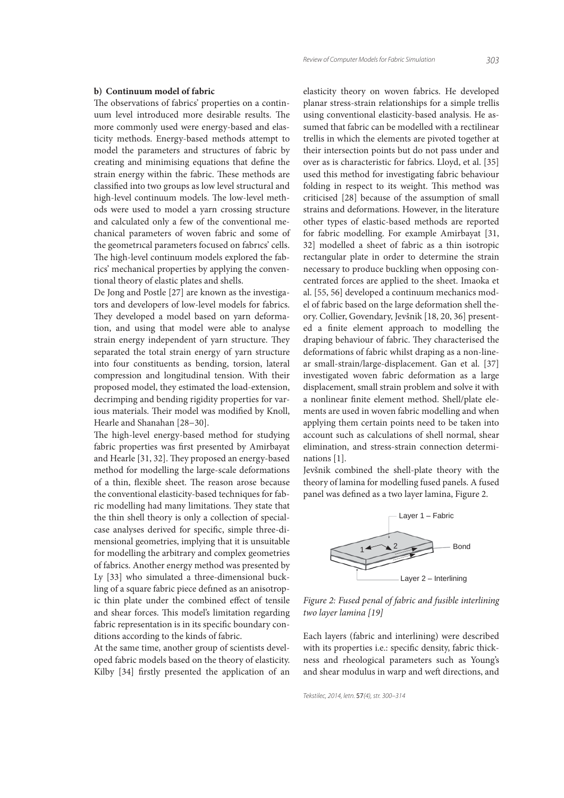### **b) Continuum model of fabric**

The observations of fabrics' properties on a continuum level introduced more desirable results. The more commonly used were energy-based and elasticity methods. Energy-based methods attempt to model the parameters and structures of fabric by creating and minimising equations that define the strain energy within the fabric. These methods are classified into two groups as low level structural and high-level continuum models. The low-level methods were used to model a yarn crossing structure and calculated only a few of the conventional mechanical parameters of woven fabric and some of the geometrıcal parameters focused on fabrıcs' cells. The high-level continuum models explored the fabrics' mechanical properties by applying the conventional theory of elastic plates and shells.

De Jong and Postle [27] are known as the investigators and developers of low-level models for fabrics. They developed a model based on yarn deformation, and using that model were able to analyse strain energy independent of yarn structure. They separated the total strain energy of yarn structure into four constituents as bending, torsion, lateral compression and longitudinal tension. With their proposed model, they estimated the load-extension, decrimping and bending rigidity properties for various materials. Their model was modified by Knoll, Hearle and Shanahan [28−30].

The high-level energy-based method for studying fabric properties was first presented by Amirbayat and Hearle [31, 32]. They proposed an energy-based method for modelling the large-scale deformations of a thin, flexible sheet. The reason arose because the conventional elasticity-based techniques for fabric modelling had many limitations. They state that the thin shell theory is only a collection of specialcase analyses derived for specific, simple three-dimensional geometries, implying that it is unsuitable for modelling the arbitrary and complex geometries of fabrics. Another energy method was presented by Ly [33] who simulated a three-dimensional buckling of a square fabric piece defıned as an anisotropic thin plate under the combined effect of tensile and shear forces. This model's limitation regarding fabric representation is in its specific boundary conditions according to the kinds of fabric.

At the same time, another group of scientists developed fabric models based on the theory of elasticity. Kilby [34] firstly presented the application of an elasticity theory on woven fabrics. He developed planar stress-strain relationships for a simple trellis using conventional elasticity-based analysis. He assumed that fabric can be modelled with a rectilinear trellis in which the elements are pivoted together at their intersection points but do not pass under and over as is characteristic for fabrics. Lloyd, et al. [35] used this method for investigating fabric behaviour folding in respect to its weight. This method was criticised [28] because of the assumption of small strains and deformations. However, in the literature other types of elastic-based methods are reported for fabric modelling. For example Amirbayat [31, 32] modelled a sheet of fabric as a thin isotropic rectangular plate in order to determine the strain necessary to produce buckling when opposing concentrated forces are applied to the sheet. Imaoka et al. [55, 56] developed a continuum mechanics model of fabric based on the large deformation shell theory. Collier, Govendary, Jevšnik [18, 20, 36] presented a finite element approach to modelling the draping behaviour of fabric. They characterised the deformations of fabric whilst draping as a non-linear small-strain/large-displacement. Gan et al. [37] investigated woven fabric deformation as a large displacement, small strain problem and solve it with a nonlinear finite element method. Shell/plate elements are used in woven fabric modelling and when applying them certain points need to be taken into account such as calculations of shell normal, shear elimination, and stress-strain connection determinations [1].

Jevšnik combined the shell-plate theory with the theory of lamina for modelling fused panels. A fused panel was defined as a two layer lamina, Figure 2.



*Figure 2: Fused penal of fabric and fusible interlining two layer lamina [19]*

Each layers (fabric and interlining) were described with its properties i.e.: specific density, fabric thickness and rheological parameters such as Young's and shear modulus in warp and weft directions, and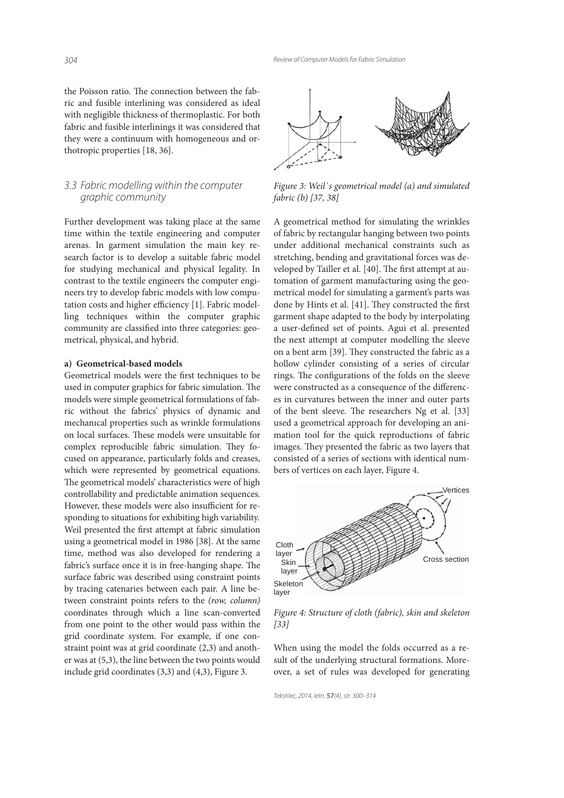the Poisson ratio. The connection between the fabric and fusible interlining was considered as ideal with negligible thickness of thermoplastic. For both fabric and fusible interlinings it was considered that they were a continuum with homogeneous and orthotropic properties [18, 36].

### 3.3 Fabric modelling within the computer graphic community

Further development was taking place at the same time within the textile engineering and computer arenas. In garment simulation the main key research factor is to develop a suitable fabric model for studying mechanical and physical legality. In contrast to the textile engineers the computer engineers try to develop fabric models with low computation costs and higher efficiency [1]. Fabric modelling techniques within the computer graphic community are classified into three categories: geometrical, physical, and hybrid.

#### **a) Geometrical-based models**

Geometrical models were the first techniques to be used in computer graphics for fabric simulation. The models were simple geometrical formulations of fabric without the fabrics' physics of dynamic and mechanıcal properties such as wrinkle formulations on local surfaces. These models were unsuitable for complex reproducible fabric simulation. They focused on appearance, particularly folds and creases, which were represented by geometrical equations. The geometrical models' characteristics were of high controllability and predictable animation sequences. However, these models were also insufficient for responding to situations for exhibiting high variability. Weil presented the first attempt at fabric simulation using a geometrical model in 1986 [38]. At the same time, method was also developed for rendering a fabric's surface once it is in free-hanging shape. The surface fabric was described using constraint points by tracing catenaries between each pair. A line between constraint points refers to the *(row, column)*  coordinates through which a line scan-converted from one point to the other would pass within the grid coordinate system. For example, if one constraint point was at grid coordinate (2,3) and another was at (5,3), the line between the two points would include grid coordinates (3,3) and (4,3), Figure 3.



*Figure 3: Weil`s geometrical model (a) and simulated fabric (b) [37, 38]*

A geometrical method for simulating the wrinkles of fabric by rectangular hanging between two points under additional mechanical constraints such as stretching, bending and gravitational forces was developed by Tailler et al. [40]. The first attempt at automation of garment manufacturing using the geometrical model for simulating a garment's parts was done by Hints et al. [41]. They constructed the first garment shape adapted to the body by interpolating a user-defined set of points. Agui et al. presented the next attempt at computer modelling the sleeve on a bent arm [39]. They constructed the fabric as a hollow cylinder consisting of a series of circular rings. The configurations of the folds on the sleeve were constructed as a consequence of the differences in curvatures between the inner and outer parts of the bent sleeve. The researchers Ng et al. [33] used a geometrical approach for developing an animation tool for the quick reproductions of fabric images. They presented the fabric as two layers that consisted of a series of sections with identical numbers of vertices on each layer, Figure 4.



*Figure 4: Structure of cloth (fabric), skin and skeleton [33]*

When using the model the folds occurred as a result of the underlying structural formations. Moreover, a set of rules was developed for generating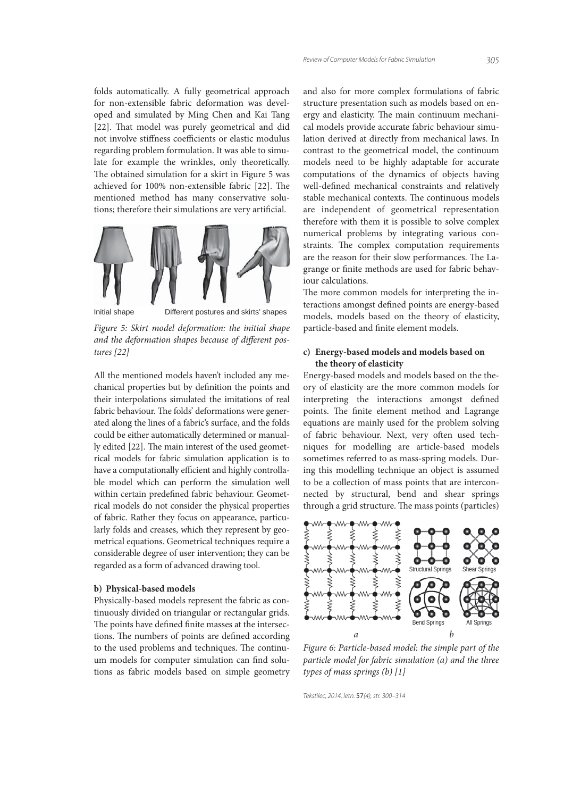folds automatically. A fully geometrical approach for non-extensible fabric deformation was developed and simulated by Ming Chen and Kai Tang [22]. That model was purely geometrical and did not involve stiffness coefficients or elastic modulus regarding problem formulation. It was able to simulate for example the wrinkles, only theoretically. The obtained simulation for a skirt in Figure 5 was achieved for 100% non-extensible fabric [22]. The mentioned method has many conservative solutions; therefore their simulations are very artificial.



Initial shape Different postures and skirts' shapes

*Figure 5: Skirt model deformation: the initial shape*  and the deformation shapes because of different pos*tures [22]*

All the mentioned models haven't included any mechanical properties but by definition the points and their interpolations simulated the imitations of real fabric behaviour. The folds' deformations were generated along the lines of a fabric's surface, and the folds could be either automatically determined or manually edited [22]. The main interest of the used geometrical models for fabric simulation application is to have a computationally efficient and highly controllable model which can perform the simulation well within certain predefined fabric behaviour. Geometrical models do not consider the physical properties of fabric. Rather they focus on appearance, particularly folds and creases, which they represent by geometrical equations. Geometrical techniques require a considerable degree of user intervention; they can be regarded as a form of advanced drawing tool.

#### **b) Physical-based models**

Physically-based models represent the fabric as continuously divided on triangular or rectangular grids. The points have defined finite masses at the intersections. The numbers of points are defined according to the used problems and techniques. The continuum models for computer simulation can find solutions as fabric models based on simple geometry and also for more complex formulations of fabric structure presentation such as models based on energy and elasticity. The main continuum mechanical models provide accurate fabric behaviour simulation derived at directly from mechanical laws. In contrast to the geometrical model, the continuum models need to be highly adaptable for accurate computations of the dynamics of objects having well-defined mechanical constraints and relatively stable mechanical contexts. The continuous models are independent of geometrical representation therefore with them it is possible to solve complex numerical problems by integrating various constraints. The complex computation requirements are the reason for their slow performances. The Lagrange or finite methods are used for fabric behaviour calculations.

The more common models for interpreting the interactions amongst defined points are energy-based models, models based on the theory of elasticity, particle-based and finite element models.

#### **c) Energy-based models and models based on the theory of elasticity**

Energy-based models and models based on the theory of elasticity are the more common models for interpreting the interactions amongst defined points. The finite element method and Lagrange equations are mainly used for the problem solving of fabric behaviour. Next, very often used techniques for modelling are article-based models sometimes referred to as mass-spring models. During this modelling technique an object is assumed to be a collection of mass points that are interconnected by structural, bend and shear springs through a grid structure. The mass points (particles)



*Figure 6: Particle-based model: the simple part of the particle model for fabric simulation (a) and the three types of mass springs (b) [1]*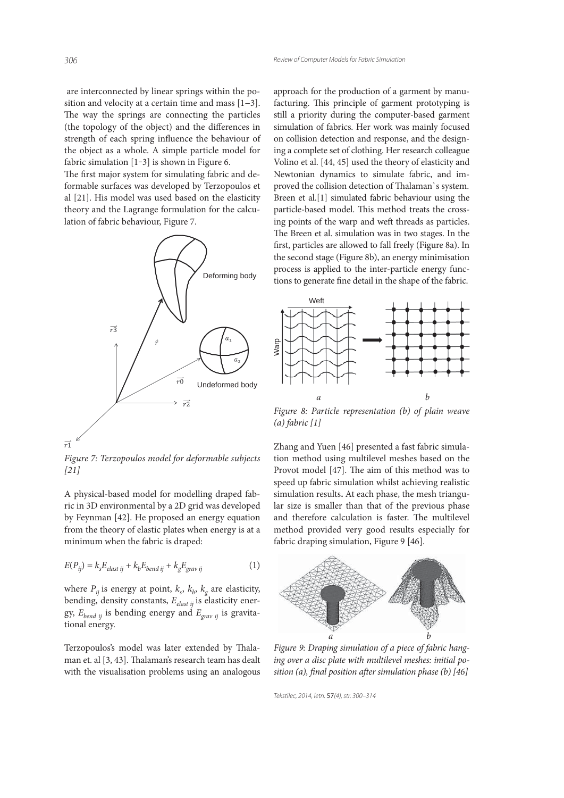are interconnected by linear springs within the position and velocity at a certain time and mass [1−3]. The way the springs are connecting the particles (the topology of the object) and the differences in strength of each spring influence the behaviour of the object as a whole. A simple particle model for fabric simulation [1-3] is shown in Figure 6.

The first major system for simulating fabric and deformable surfaces was developed by Terzopoulos et al [21]. His model was used based on the elasticity theory and the Lagrange formulation for the calculation of fabric behaviour, Figure 7.



*Figure 7: Terzopoulos model for deformable subjects [21]*

A physical-based model for modelling draped fabric in 3D environmental by a 2D grid was developed by Feynman [42]. He proposed an energy equation from the theory of elastic plates when energy is at a minimum when the fabric is draped:

$$
E(P_{ij}) = k_s E_{elast\ ij} + k_b E_{bend\ ij} + k_g E_{grav\ ij}
$$
 (1)

where  $P_{ij}$  is energy at point,  $k_s$ ,  $k_b$ ,  $k_g$  are elasticity, bending, density constants, *Eelast ij* is elasticity energy, *Ebend ij* is bending energy and *Egrav ij* is gravitational energy.

Terzopoulos's model was later extended by Thalaman et. al [3, 43]. Thalaman's research team has dealt with the visualisation problems using an analogous approach for the production of a garment by manufacturing. This principle of garment prototyping is still a priority during the computer-based garment simulation of fabrics. Her work was mainly focused on collision detection and response, and the designing a complete set of clothing. Her research colleague Volino et al. [44, 45] used the theory of elasticity and Newtonian dynamics to simulate fabric, and improved the collision detection of Thalaman's system. Breen et al.[1] simulated fabric behaviour using the particle-based model. This method treats the crossing points of the warp and weft threads as particles. The Breen et al. simulation was in two stages. In the first, particles are allowed to fall freely (Figure 8a). In the second stage (Figure 8b), an energy minimisation process is applied to the inter-particle energy functions to generate fine detail in the shape of the fabric.



*Figure 8: Particle representation (b) of plain weave (a) fabric [1]*

Zhang and Yuen [46] presented a fast fabric simulation method using multilevel meshes based on the Provot model [47]. The aim of this method was to speed up fabric simulation whilst achieving realistic simulation results**.** At each phase, the mesh triangular size is smaller than that of the previous phase and therefore calculation is faster. The multilevel method provided very good results especially for fabric draping simulation, Figure 9 [46].



*Figure 9: Draping simulation of a piece of fabric hanging over a disc plate with multilevel meshes: initial position (a), final position after simulation phase (b)* [46]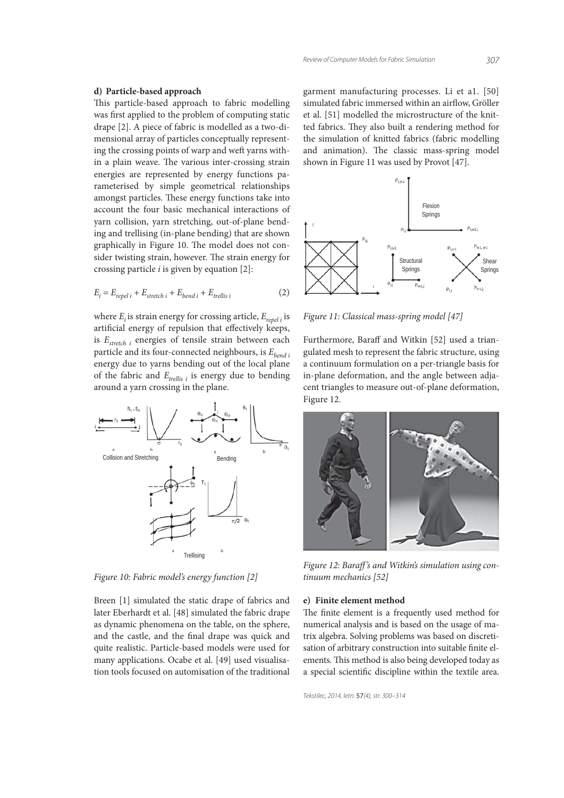#### **d) Particle-based approach**

This particle-based approach to fabric modelling was first applied to the problem of computing static drape [2]. A piece of fabric is modelled as a two-dimensional array of particles conceptually representing the crossing points of warp and weft yarns within a plain weave. The various inter-crossing strain energies are represented by energy functions parameterised by simple geometrical relationships amongst particles. These energy functions take into account the four basic mechanical interactions of yarn collision, yarn stretching, out-of-plane bending and trellising (in-plane bending) that are shown graphically in Figure 10. The model does not consider twisting strain, however. The strain energy for crossing particle *i* is given by equation [2]:

$$
E_i = E_{repel\ i} + E_{stretch\ i} + E_{bend\ i} + E_{trellis\ i}
$$
 (2)

where *E<sub>i</sub>* is strain energy for crossing article, *E<sub>repeli</sub>* is artificial energy of repulsion that effectively keeps, is *Estretch i* energies of tensile strain between each particle and its four-connected neighbours, is *Ebend i* energy due to yarns bending out of the local plane of the fabric and  $E_{\text{trellis }i}$  is energy due to bending around a yarn crossing in the plane.



*Figure 10: Fabric model's energy function [2]*

Breen [1] simulated the static drape of fabrics and later Eberhardt et al. [48] simulated the fabric drape as dynamic phenomena on the table, on the sphere, and the castle, and the final drape was quick and quite realistic. Particle-based models were used for many applications. Ocabe et al. [49] used visualisation tools focused on automisation of the traditional garment manufacturing processes. Li et a1. [50] simulated fabric immersed within an airflow, Gröller et al. [51] modelled the microstructure of the knitted fabrics. They also built a rendering method for the simulation of knitted fabrics (fabric modelling and animation). The classic mass-spring model shown in Figure 11 was used by Provot [47].



*Figure 11: Classical mass-spring model [47]*

Furthermore, Baraff and Witkin [52] used a triangulated mesh to represent the fabric structure, using a continuum formulation on a per-triangle basis for in-plane deformation, and the angle between adjacent triangles to measure out-of-plane deformation, Figure 12.



*Figure 12: Baraff 's and Witkin's simulation using continuum mechanics [52]*

#### **e) Finite element method**

The finite element is a frequently used method for numerical analysis and is based on the usage of matrix algebra. Solving problems was based on discretisation of arbitrary construction into suitable finite elements. This method is also being developed today as a special scientific discipline within the textile area.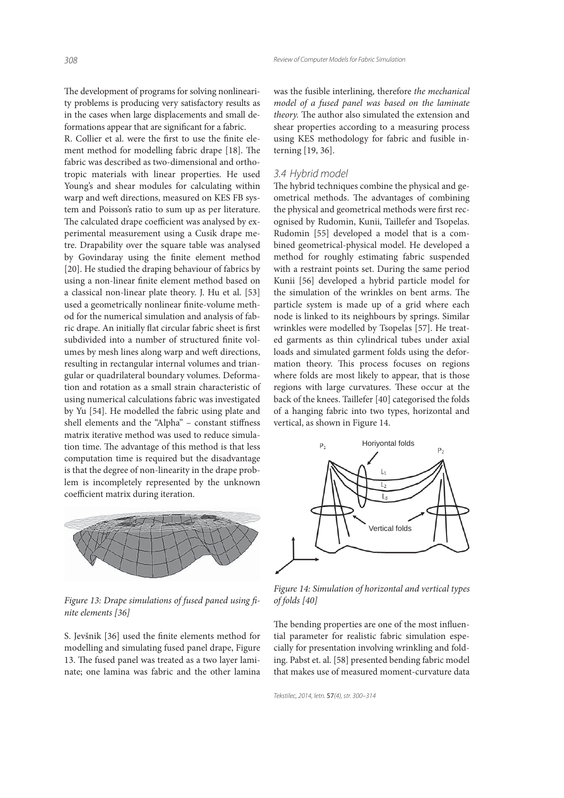The development of programs for solving nonlinearity problems is producing very satisfactory results as in the cases when large displacements and small deformations appear that are significant for a fabric.

R. Collier et al. were the first to use the finite element method for modelling fabric drape [18]. The fabric was described as two-dimensional and orthotropic materials with linear properties. He used Young's and shear modules for calculating within warp and weft directions, measured on KES FB system and Poisson's ratio to sum up as per literature. The calculated drape coefficient was analysed by experimental measurement using a Cusik drape metre. Drapability over the square table was analysed by Govindaray using the finite element method [20]. He studied the draping behaviour of fabrics by using a non-linear finite element method based on a classical non-linear plate theory. J. Hu et al. [53] used a geometrically nonlinear finite-volume method for the numerical simulation and analysis of fabric drape. An initially flat circular fabric sheet is first subdivided into a number of structured finite volumes by mesh lines along warp and weft directions, resulting in rectangular internal volumes and triangular or quadrilateral boundary volumes. Deformation and rotation as a small strain characteristic of using numerical calculations fabric was investigated by Yu [54]. He modelled the fabric using plate and shell elements and the "Alpha" – constant stiffness matrix iterative method was used to reduce simulation time. The advantage of this method is that less computation time is required but the disadvantage is that the degree of non-linearity in the drape problem is incompletely represented by the unknown coefficient matrix during iteration.



*Figure 13: Drape simulations of fused paned using fi nite elements [36]*

S. Jevšnik [36] used the finite elements method for modelling and simulating fused panel drape, Figure 13. The fused panel was treated as a two layer laminate; one lamina was fabric and the other lamina

was the fusible interlining, therefore *the mechanical model of a fused panel was based on the laminate*  theory. The author also simulated the extension and shear properties according to a measuring process using KES methodology for fabric and fusible interning [19, 36].

#### 3.4 Hybrid model

The hybrid techniques combine the physical and geometrical methods. The advantages of combining the physical and geometrical methods were first recognised by Rudomin, Kunii, Taillefer and Tsopelas. Rudomin [55] developed a model that is a combined geometrical-physical model. He developed a method for roughly estimating fabric suspended with a restraint points set. During the same period Kunii [56] developed a hybrid particle model for the simulation of the wrinkles on bent arms. The particle system is made up of a grid where each node is linked to its neighbours by springs. Similar wrinkles were modelled by Tsopelas [57]. He treated garments as thin cylindrical tubes under axial loads and simulated garment folds using the deformation theory. This process focuses on regions where folds are most likely to appear, that is those regions with large curvatures. These occur at the back of the knees. Taillefer [40] categorised the folds of a hanging fabric into two types, horizontal and vertical, as shown in Figure 14.



*Figure 14: Simulation of horizontal and vertical types of folds [40]*

The bending properties are one of the most influential parameter for realistic fabric simulation especially for presentation involving wrinkling and folding. Pabst et. al. [58] presented bending fabric model that makes use of measured moment-curvature data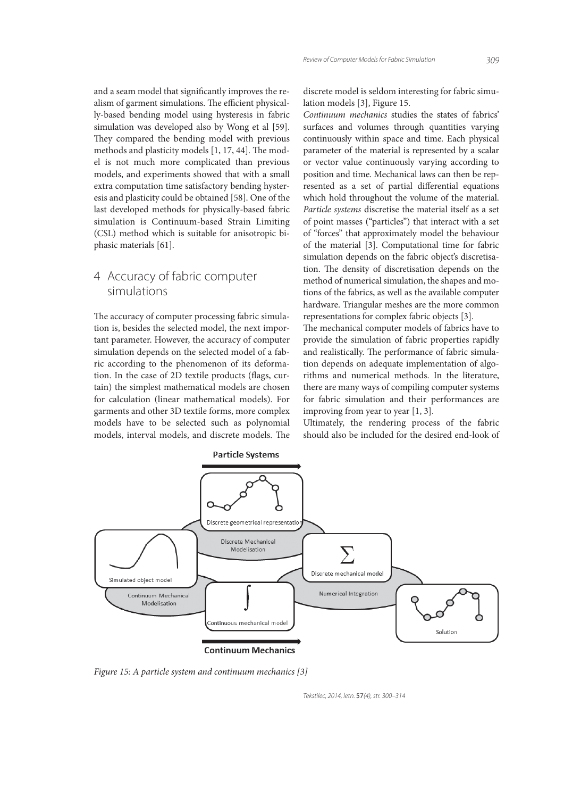and a seam model that significantly improves the realism of garment simulations. The efficient physically-based bending model using hysteresis in fabric simulation was developed also by Wong et al [59]. They compared the bending model with previous methods and plasticity models [1, 17, 44]. The model is not much more complicated than previous models, and experiments showed that with a small extra computation time satisfactory bending hysteresis and plasticity could be obtained [58]. One of the last developed methods for physically-based fabric simulation is Continuum-based Strain Limiting (CSL) method which is suitable for anisotropic biphasic materials [61].

# 4 Accuracy of fabric computer simulations

The accuracy of computer processing fabric simulation is, besides the selected model, the next important parameter. However, the accuracy of computer simulation depends on the selected model of a fabric according to the phenomenon of its deformation. In the case of 2D textile products (flags, curtain) the simplest mathematical models are chosen for calculation (linear mathematical models). For garments and other 3D textile forms, more complex models have to be selected such as polynomial models, interval models, and discrete models. The discrete model is seldom interesting for fabric simulation models [3], Figure 15.

*Continuum mechanics* studies the states of fabrics' surfaces and volumes through quantities varying continuously within space and time. Each physical parameter of the material is represented by a scalar or vector value continuously varying according to position and time. Mechanical laws can then be represented as a set of partial differential equations which hold throughout the volume of the material. *Particle systems* discretise the material itself as a set of point masses ("particles") that interact with a set of "forces" that approximately model the behaviour of the material [3]. Computational time for fabric simulation depends on the fabric object's discretisation. The density of discretisation depends on the method of numerical simulation, the shapes and motions of the fabrics, as well as the available computer hardware. Triangular meshes are the more common representations for complex fabric objects [3].

The mechanical computer models of fabrics have to provide the simulation of fabric properties rapidly and realistically. The performance of fabric simulation depends on adequate implementation of algorithms and numerical methods. In the literature, there are many ways of compiling computer systems for fabric simulation and their performances are improving from year to year [1, 3].

Ultimately, the rendering process of the fabric should also be included for the desired end-look of



*Figure 15: A particle system and continuum mechanics [3]*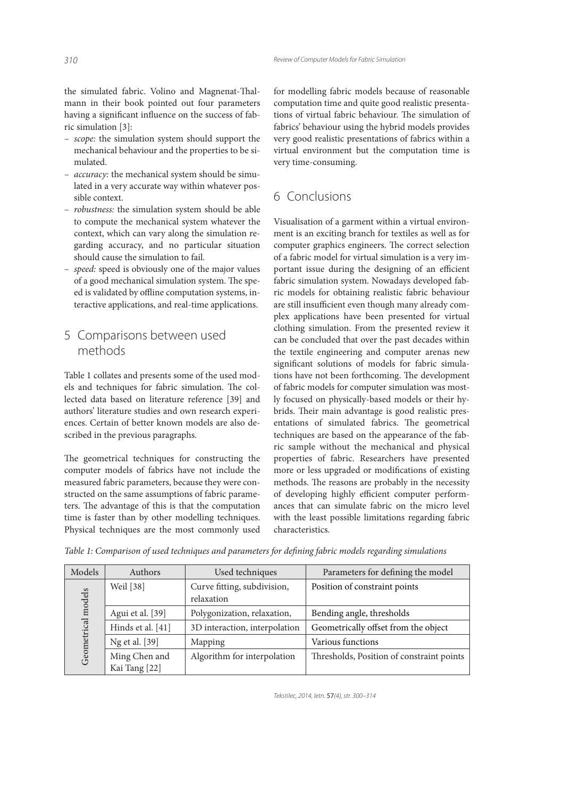the simulated fabric. Volino and Magnenat-Thalmann in their book pointed out four parameters having a significant influence on the success of fabric simulation [3]:

- the simulation system should support the *scope:*  mechanical behaviour and the properties to be simulated.
- the mechanical system should be simu- *accuracy:*  lated in a very accurate way within whatever possible context.
- the simulation system should be able *robustness:*  to compute the mechanical system whatever the context, which can vary along the simulation regarding accuracy, and no particular situation should cause the simulation to fail.
- speed is obviously one of the major values *speed:*  of a good mechanical simulation system. The speed is validated by offline computation systems, interactive applications, and real-time applications.

## 5 Comparisons between used methods

Table 1 collates and presents some of the used models and techniques for fabric simulation. The collected data based on literature reference [39] and authors' literature studies and own research experiences. Certain of better known models are also described in the previous paragraphs.

The geometrical techniques for constructing the computer models of fabrics have not include the measured fabric parameters, because they were constructed on the same assumptions of fabric parameters. The advantage of this is that the computation time is faster than by other modelling techniques. Physical techniques are the most commonly used

for modelling fabric models because of reasonable computation time and quite good realistic presentations of virtual fabric behaviour. The simulation of fabrics' behaviour using the hybrid models provides very good realistic presentations of fabrics within a virtual environment but the computation time is very time-consuming.

# 6 Conclusions

Visualisation of a garment within a virtual environment is an exciting branch for textiles as well as for computer graphics engineers. The correct selection of a fabric model for virtual simulation is a very important issue during the designing of an efficient fabric simulation system. Nowadays developed fabric models for obtaining realistic fabric behaviour are still insufficient even though many already complex applications have been presented for virtual clothing simulation. From the presented review it can be concluded that over the past decades within the textile engineering and computer arenas new significant solutions of models for fabric simulations have not been forthcoming. The development of fabric models for computer simulation was mostly focused on physically-based models or their hybrids. Their main advantage is good realistic presentations of simulated fabrics. The geometrical techniques are based on the appearance of the fabric sample without the mechanical and physical properties of fabric. Researchers have presented more or less upgraded or modifications of existing methods. The reasons are probably in the necessity of developing highly efficient computer performances that can simulate fabric on the micro level with the least possible limitations regarding fabric characteristics.

| Models                | <b>Authors</b>                 | Used techniques                           | Parameters for defining the model         |
|-----------------------|--------------------------------|-------------------------------------------|-------------------------------------------|
| models<br>Geometrical | Weil [38]                      | Curve fitting, subdivision,<br>relaxation | Position of constraint points             |
|                       | Agui et al. [39]               | Polygonization, relaxation,               | Bending angle, thresholds                 |
|                       | Hinds et al. [41]              | 3D interaction, interpolation             | Geometrically offset from the object      |
|                       | Ng et al. [39]                 | Mapping                                   | Various functions                         |
|                       | Ming Chen and<br>Kai Tang [22] | Algorithm for interpolation               | Thresholds, Position of constraint points |

*Table 1: Comparison of used techniques and parameters for defining fabric models regarding simulations*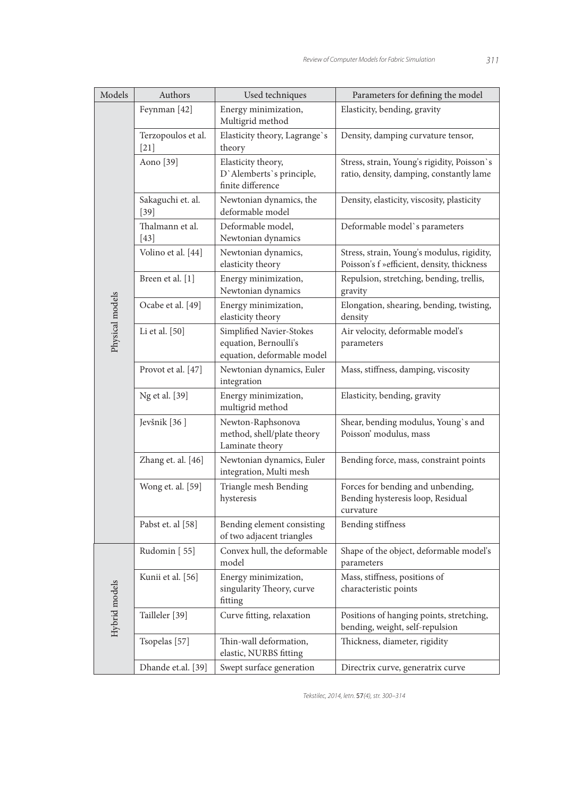| Models          | Authors                      | Used techniques                                                                 | Parameters for defining the model                                                        |
|-----------------|------------------------------|---------------------------------------------------------------------------------|------------------------------------------------------------------------------------------|
| Physical models | Feynman [42]                 | Energy minimization,<br>Multigrid method                                        | Elasticity, bending, gravity                                                             |
|                 | Terzopoulos et al.<br>$[21]$ | Elasticity theory, Lagrange's<br>theory                                         | Density, damping curvature tensor,                                                       |
|                 | Aono [39]                    | Elasticity theory,<br>D'Alemberts's principle,<br>finite difference             | Stress, strain, Young's rigidity, Poisson's<br>ratio, density, damping, constantly lame  |
|                 | Sakaguchi et. al.<br>$[39]$  | Newtonian dynamics, the<br>deformable model                                     | Density, elasticity, viscosity, plasticity                                               |
|                 | Thalmann et al.<br>$[43]$    | Deformable model,<br>Newtonian dynamics                                         | Deformable model's parameters                                                            |
|                 | Volino et al. [44]           | Newtonian dynamics,<br>elasticity theory                                        | Stress, strain, Young's modulus, rigidity,<br>Poisson's f »efficient, density, thickness |
|                 | Breen et al. [1]             | Energy minimization,<br>Newtonian dynamics                                      | Repulsion, stretching, bending, trellis,<br>gravity                                      |
|                 | Ocabe et al. [49]            | Energy minimization,<br>elasticity theory                                       | Elongation, shearing, bending, twisting,<br>density                                      |
|                 | Li et al. [50]               | Simplified Navier-Stokes<br>equation, Bernoulli's<br>equation, deformable model | Air velocity, deformable model's<br>parameters                                           |
|                 | Provot et al. [47]           | Newtonian dynamics, Euler<br>integration                                        | Mass, stiffness, damping, viscosity                                                      |
|                 | Ng et al. [39]               | Energy minimization,<br>multigrid method                                        | Elasticity, bending, gravity                                                             |
|                 | Jevšnik <sup>[36]</sup>      | Newton-Raphsonova<br>method, shell/plate theory<br>Laminate theory              | Shear, bending modulus, Young's and<br>Poisson' modulus, mass                            |
|                 | Zhang et. al. [46]           | Newtonian dynamics, Euler<br>integration, Multi mesh                            | Bending force, mass, constraint points                                                   |
|                 | Wong et. al. [59]            | Triangle mesh Bending<br>hysteresis                                             | Forces for bending and unbending,<br>Bending hysteresis loop, Residual<br>curvature      |
|                 | Pabst et. al [58]            | Bending element consisting<br>of two adjacent triangles                         | Bending stiffness                                                                        |
| Hybrid models   | Rudomin [55]                 | Convex hull, the deformable<br>model                                            | Shape of the object, deformable model's<br>parameters                                    |
|                 | Kunii et al. [56]            | Energy minimization,<br>singularity Theory, curve<br>fitting                    | Mass, stiffness, positions of<br>characteristic points                                   |
|                 | Tailleler [39]               | Curve fitting, relaxation                                                       | Positions of hanging points, stretching,<br>bending, weight, self-repulsion              |
|                 | Tsopelas [57]                | Thin-wall deformation,<br>elastic, NURBS fitting                                | Thickness, diameter, rigidity                                                            |
|                 | Dhande et.al. [39]           | Swept surface generation                                                        | Directrix curve, generatrix curve                                                        |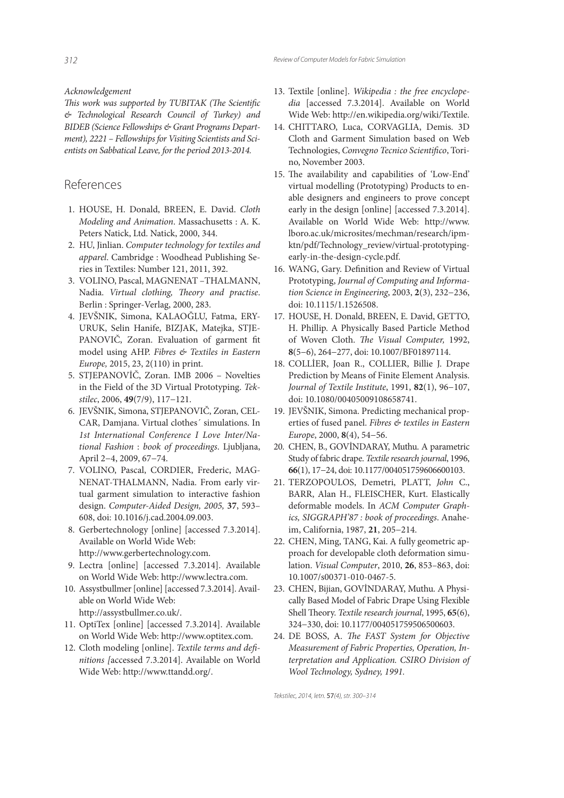*Acknowledgement*

This work was supported by TUBITAK (The Scientific *& Technological Research Council of Turkey) and BIDEB (Science Fellowships & Grant Programs Department), 2221 – Fellowships for Visiting Scientists and Scientists on Sabbatical Leave, for the period 2013-2014.*

## References

- 1. HOUSE, H. Donald, BREEN, E. David. *Cloth Modeling and Animation*. Massachusetts : A. K. Peters Natick, Ltd. Natick, 2000, 344.
- 2. HU, Jinlian. *Computer technology for textiles and apparel*. Cambridge : Woodhead Publishing Series in Textiles: Number 121, 2011, 392.
- 3. VOLINO, Pascal, MAGNENAT –THALMANN, Nadia. *Virtual clothing*, *Theory and practise*. Berlin : Springer-Verlag, 2000, 283.
- 4. JEVŠNIK, Simona, KALAOĞLU, Fatma, ERY-URUK, Selin Hanife, BIZJAK, Matejka, STJE-PANOVIČ, Zoran. Evaluation of garment fit model using AHP. *Fibres & Textiles in Eastern Europe,* 2015, 23, 2(110) in print.
- 5. STJEPANOVİČ, Zoran. IMB 2006 Novelties in the Field of the 3D Virtual Prototyping. *Tekstilec*, 2006, **49**(7/9), 117−121.
- 6. JEVŠNIK, Simona, STJEPANOVIČ, Zoran, CEL-CAR, Damjana. Virtual clothes´ simulations. In *1st International Conference I Love Inter/National Fashion* : *book of proceedings*. Ljubljana, April 2−4, 2009, 67−74.
- 7. VOLINO, Pascal, CORDIER, Frederic, MAG-NENAT-THALMANN, Nadia. From early virtual garment simulation to interactive fashion design. *Computer-Aided Design, 2005,* **37**, 593– 608, doi: 10.1016/j.cad.2004.09.003.
- 8. Gerbertechnology [online] [accessed 7.3.2014]. Available on World Wide Web: http://www.gerbertechnology.com.
- 9. Lectra [online] [accessed 7.3.2014]. Available on World Wide Web: http://www.lectra.com.
- 10. Assystbullmer [online] [accessed 7.3.2014]. Available on World Wide Web: http://assystbullmer.co.uk/.
- 11. OptiTex [online] [accessed 7.3.2014]. Available on World Wide Web: http://www.optitex.com.
- 12. Cloth modeling [online]. *Textile terms and defi nitions [*accessed 7.3.2014]. Available on World Wide Web: http://www.ttandd.org/.
- 13. Textile [online]. *Wikipedia : the free encyclopedia* [accessed 7.3.2014]. Available on World Wide Web: http://en.wikipedia.org/wiki/Textile.
- 14. CHITTARO, Luca, CORVAGLIA, Demis. 3D Cloth and Garment Simulation based on Web Technologies, Convegno Tecnico Scientifico, Torino, November 2003.
- 15. The availability and capabilities of 'Low-End' virtual modelling (Prototyping) Products to enable designers and engineers to prove concept early in the design [online] [accessed 7.3.2014]. Available on World Wide Web: http://www. lboro.ac.uk/microsites/mechman/research/ipmktn/pdf/Technology\_review/virtual-prototypingearly-in-the-design-cycle.pdf.
- 16. WANG, Gary. Definition and Review of Virtual Prototyping, *Journal of Computing and Information Science in Engineering*, 2003, **2**(3), 232−236, doi: 10.1115/1.1526508.
- 17. HOUSE, H. Donald, BREEN, E. David, GETTO, H. Phillip. A Physically Based Particle Method of Woven Cloth. *The Visual Computer*, 1992, **8**(5−6), 264−277, doi: 10.1007/BF01897114.
- 18. COLLİER, Joan R., COLLIER, Billie J. Drape Prediction by Means of Finite Element Analysis. *Journal of Textile Institute*, 1991, **82**(1), 96−107, doi: 10.1080/00405009108658741.
- 19. JEVŠNIK, Simona. Predicting mechanical properties of fused panel. *Fibres & textiles in Eastern Europe*, 2000, **8**(4), 54−56.
- 20. CHEN, B., GOVİNDARAY, Muthu. A parametric Study of fabric drape. *Textile research journal*, 1996, **66**(1), 17−24, doi: 10.1177/004051759606600103.
- 21. TERZOPOULOS, Demetri, PLATT, *John* C., BARR, Alan H., FLEISCHER, Kurt. Elastically deformable models. In *ACM Computer Graphics, SIGGRAPH'87 : book of proceedings*. Anaheim, California, 1987, **21**, 205−214.
- 22. CHEN, Ming, TANG, Kai. A fully geometric approach for developable cloth deformation simulation. *Visual Computer*, 2010, **26**, 853–863, doi: 10.1007/s00371-010-0467-5.
- 23. CHEN, Bijian, GOVİNDARAY, Muthu. A Physically Based Model of Fabric Drape Using Flexible Shell Theory. *Textile research journal*, 1995, 65(6), 324−330, doi: 10.1177/004051759506500603.
- 24. DE BOSS, A. *The FAST System for Objective Measurement of Fabric Properties, Operation, Interpretation and Application. CSIRO Division of Wool Technology, Sydney, 1991.*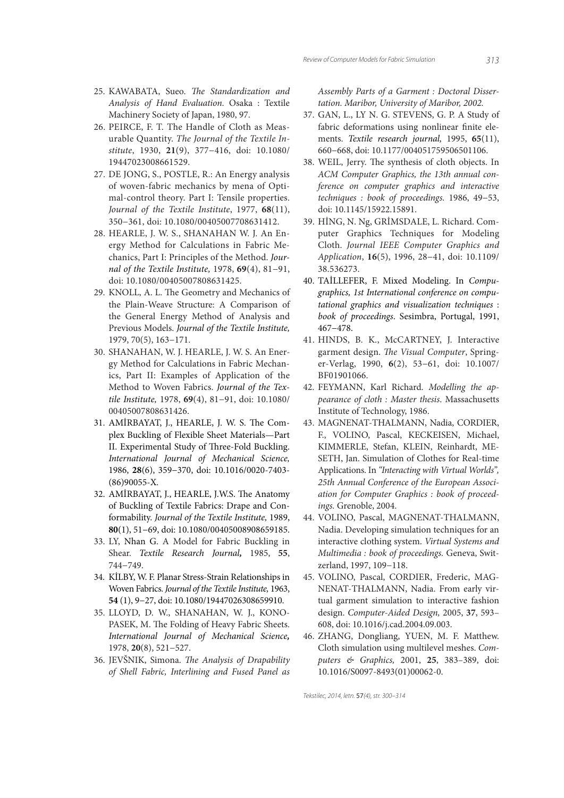- 25. KAWABATA, Sueo. *The Standardization and Analysis of Hand Evaluation*. Osaka : Textile Machinery Society of Japan, 1980, 97.
- 26. PEIRCE, F. T. The Handle of Cloth as Measurable Quantity. *The Journal of the Textile Institute*, 1930, **21**(9), 377−416, doi: 10.1080/ 19447023008661529.
- 27. DE JONG, S., POSTLE, R.: An Energy analysis of woven-fabric mechanics by mena of Optimal-control theory. Part I: Tensile properties. *Journal of the Textile Institute*, 1977, **68**(11), 350−361, doi: 10.1080/00405007708631412.
- 28. HEARLE, J. W. S., SHANAHAN W. J. An Energy Method for Calculations in Fabric Mechanics, Part I: Principles of the Method. *Journal of the Textile Institute,* 1978, **69**(4), 81−91, doi: 10.1080/00405007808631425.
- 29. KNOLL, A. L. The Geometry and Mechanics of the Plain-Weave Structure: A Comparison of the General Energy Method of Analysis and Previous Models. *Journal of the Textile Institute,* 1979, 70(5), 163−171.
- 30. SHANAHAN, W. J. HEARLE, J. W. S. An Energy Method for Calculations in Fabric Mechanics, Part II: Examples of Application of the Method to Woven Fabrics. *Journal of the Textile Institute,* 1978, **69**(4), 81−91, doi: 10.1080/ 00405007808631426.
- 31. AMİRBAYAT, J., HEARLE, J. W. S. The Complex Buckling of Flexible Sheet Materials—Part II. Experimental Study of Three-Fold Buckling. *International Journal of Mechanical Science,* 1986, **28**(6), 359−370, doi: 10.1016/0020-7403- (86)90055-X.
- 32. AMİRBAYAT, J., HEARLE, J.W.S. The Anatomy of Buckling of Textile Fabrics: Drape and Conformability. *Journal of the Textile Institute,* 1989, **80**(1), 51−69, doi: 10.1080/00405008908659185.
- 33. LY, Nhan G. A Model for Fabric Buckling in Shear. *Textile Research Journal,* 1985, **55**, 744−749.
- 34. KİLBY, W. F. Planar Stress-Strain Relationships in Woven Fabrics. *Journal of the Textile Institute,* 1963, **54** (1), 9−27, doi: 10.1080/19447026308659910.
- 35. LLOYD, D. W., SHANAHAN, W. J., KONO-PASEK, M. The Folding of Heavy Fabric Sheets. *International Journal of Mechanical Science,* 1978, **20**(8), 521−527.
- 36. JEVŠNIK, Simona. *The Analysis of Drapability of Shell Fabric, Interlining and Fused Panel as*

*Assembly Parts of a Garment : Doctoral Dissertation. Maribor, University of Maribor, 2002.*

- 37. GAN, L., LY N. G. STEVENS, G. P. A Study of fabric deformations using nonlinear finite elements. *Textile research journal,* 1995, **65**(11), 660−668, doi: 10.1177/004051759506501106.
- 38. WEIL, Jerry. The synthesis of cloth objects. In *ACM Computer Graphics, the 13th annual conference on computer graphics and interactive techniques : book of proceedings.* 1986, 49−53, doi: 10.1145/15922.15891.
- 39. HİNG, N. Ng, GRİMSDALE, L. Richard. Computer Graphics Techniques for Modeling Cloth. *Journal IEEE Computer Graphics and Application*, **16**(5), 1996, 28−41, doi: 10.1109/ 38.536273.
- 40. TAİLLEFER, F. Mixed Modeling. In *Compugraphics, 1st International conference on computational graphics and visualization techniques* : *book of proceedings*. Sesimbra, Portugal, 1991, 467−478.
- 41. HINDS, B. K., McCARTNEY, J. Interactive garment design. The Visual Computer, Springer-Verlag, 1990, **6**(2), 53−61, doi: 10.1007/ BF01901066.
- 42. FEYMANN, Karl Richard. *Modelling the appearance of cloth : Master thesis*. Massachusetts Institute of Technology, 1986.
- 43. MAGNENAT-THALMANN, Nadia, CORDIER, F., VOLINO, Pascal, KECKEISEN, Michael, KIMMERLE, Stefan, KLEIN, Reinhardt, ME-SETH, Jan. Simulation of Clothes for Real-time Applications. In *"Interacting with Virtual Worlds", 25th Annual Conference of the European Association for Computer Graphics : book of proceedings.* Grenoble, 2004.
- 44. VOLINO, Pascal, MAGNENAT-THALMANN, Nadia. Developing simulation techniques for an interactive clothing system. *Virtual Systems and Multimedia : book of proceedings.* Geneva, Switzerland, 1997, 109−118.
- 45. VOLINO, Pascal, CORDIER, Frederic, MAG-NENAT-THALMANN, Nadia. From early virtual garment simulation to interactive fashion design. *Computer-Aided Design,* 2005, **37**, 593– 608, doi: 10.1016/j.cad.2004.09.003.
- 46. ZHANG, Dongliang, YUEN, M. F. Matthew. Cloth simulation using multilevel meshes. *Computers & Graphics,* 2001, **25**, 383–389, doi: 10.1016/S0097-8493(01)00062-0.